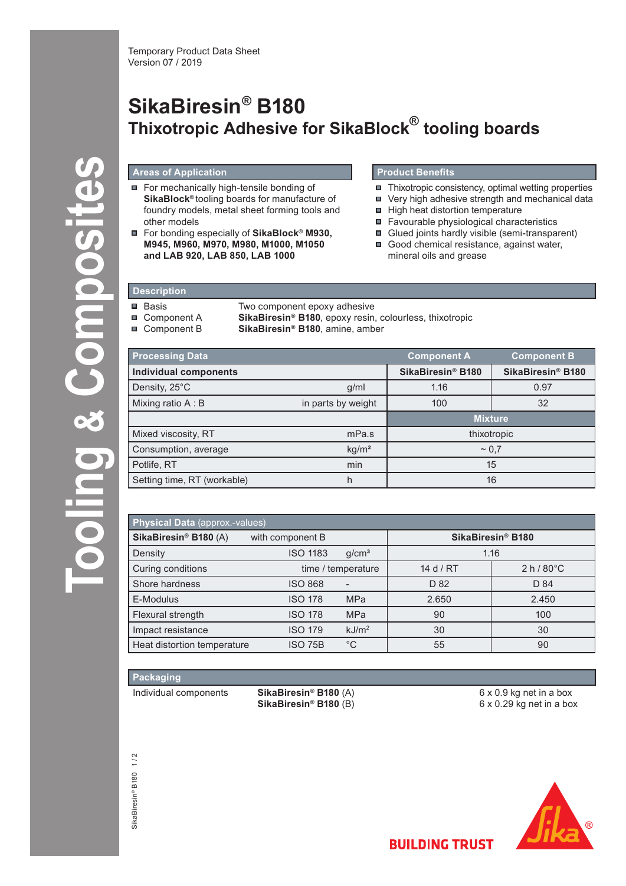# **SikaBiresin® B180 Thixotropic Adhesive for SikaBlock® tooling boards**

## **Areas of Application**

- For mechanically high-tensile bonding of **SikaBlock®** tooling boards for manufacture of foundry models, metal sheet forming tools and other models
- For bonding especially of **SikaBlock® M930, M945, M960, M970, M980, M1000, M1050 and LAB 920, LAB 850, LAB 1000**

# **Product Benefits**

- $\blacksquare$  Thixotropic consistency, optimal wetting properties
- Very high adhesive strength and mechanical data
- High heat distortion temperature
- Favourable physiological characteristics
- **Glued joints hardly visible (semi-transparent)**
- Good chemical resistance, against water, mineral oils and grease

# **Description**

 $\blacksquare$  $\blacksquare$  $\blacksquare$ 

| Basis       | Two component epoxy adhesive                                               |
|-------------|----------------------------------------------------------------------------|
| Component A | <b>SikaBiresin<sup>®</sup> B180</b> , epoxy resin, colourless, thixotropic |
| Component B | <b>SikaBiresin<sup>®</sup> B180</b> , amine, amber                         |

| <b>Processing Data</b>       |                    | <b>Component A</b>            | <b>Component B</b> |
|------------------------------|--------------------|-------------------------------|--------------------|
| <b>Individual components</b> |                    | SikaBiresin <sup>®</sup> B180 | SikaBiresin® B180  |
| Density, 25°C                | g/ml               | 1.16                          | 0.97               |
| Mixing ratio A: B            | in parts by weight | 100                           | 32                 |
|                              |                    | <b>Mixture</b>                |                    |
| Mixed viscosity, RT          | mPa.s              | thixotropic                   |                    |
| Consumption, average         | kg/m <sup>2</sup>  | $~1$ 0.7                      |                    |
| Potlife, RT                  | min                | 15                            |                    |
| Setting time, RT (workable)  | h                  | 16                            |                    |

| Physical Data (approx.-values) |                  |                    |                               |                    |  |  |  |
|--------------------------------|------------------|--------------------|-------------------------------|--------------------|--|--|--|
| SikaBiresin® B180 (A)          | with component B |                    | SikaBiresin <sup>®</sup> B180 |                    |  |  |  |
| Density                        | <b>ISO 1183</b>  | q/cm <sup>3</sup>  | 1.16                          |                    |  |  |  |
| Curing conditions              |                  | time / temperature | 14 d / $RT$                   | $2 h/80^{\circ}$ C |  |  |  |
| Shore hardness                 | <b>ISO 868</b>   |                    | D 82                          | D 84               |  |  |  |
| E-Modulus                      | <b>ISO 178</b>   | <b>MPa</b>         | 2.650                         | 2.450              |  |  |  |
| Flexural strength              | <b>ISO 178</b>   | <b>MPa</b>         | 90                            | 100                |  |  |  |
| Impact resistance              | <b>ISO 179</b>   | kJ/m <sup>2</sup>  | 30                            | 30                 |  |  |  |
| Heat distortion temperature    | <b>ISO 75B</b>   | $^{\circ}C$        | 55                            | 90                 |  |  |  |

# **Packaging**

**Tooling** 

**& Composites**

Jonoosi

Individual components **SikaBiresin® B180** (A)

**SikaBiresin® B180** (B)

6 x 0.9 kg net in a box 6 x 0.29 kg net in a box